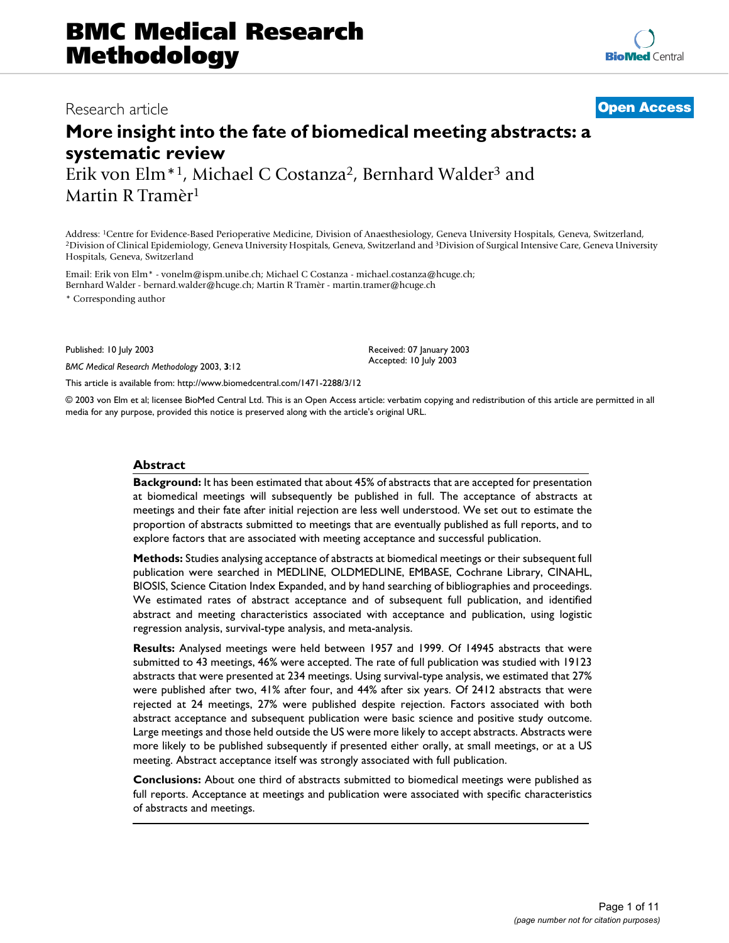# **BMC Medical Research Methodology**

## Research article **[Open Access](http://www.biomedcentral.com/info/about/charter/)**

## **More insight into the fate of biomedical meeting abstracts: a systematic review** Erik von Elm<sup>\*1</sup>, Michael C Costanza<sup>2</sup>, Bernhard Walder<sup>3</sup> and

Martin R Tramèr1

Address: <sup>1</sup>Centre for Evidence-Based Perioperative Medicine, Division of Anaesthesiology, Geneva University Hospitals, Geneva, Switzerland,<br><sup>2</sup>Division of Clinical Epidemiology, Geneva University Hospitals, Geneva, Switze Hospitals, Geneva, Switzerland

Email: Erik von Elm\* - vonelm@ispm.unibe.ch; Michael C Costanza - michael.costanza@hcuge.ch; Bernhard Walder - bernard.walder@hcuge.ch; Martin R Tramèr - martin.tramer@hcuge.ch

\* Corresponding author

Published: 10 July 2003

*BMC Medical Research Methodology* 2003, **3**:12

[This article is available from: http://www.biomedcentral.com/1471-2288/3/12](http://www.biomedcentral.com/1471-2288/3/12)

media for any purpose, provided this notice is preserved along with the article's original URL.

© 2003 von Elm et al; licensee BioMed Central Ltd. This is an Open Access article: verbatim copying and redistribution of this article are permitted in all

Received: 07 January 2003 Accepted: 10 July 2003

## **Abstract**

**Background:** It has been estimated that about 45% of abstracts that are accepted for presentation at biomedical meetings will subsequently be published in full. The acceptance of abstracts at meetings and their fate after initial rejection are less well understood. We set out to estimate the proportion of abstracts submitted to meetings that are eventually published as full reports, and to explore factors that are associated with meeting acceptance and successful publication.

**Methods:** Studies analysing acceptance of abstracts at biomedical meetings or their subsequent full publication were searched in MEDLINE, OLDMEDLINE, EMBASE, Cochrane Library, CINAHL, BIOSIS, Science Citation Index Expanded, and by hand searching of bibliographies and proceedings. We estimated rates of abstract acceptance and of subsequent full publication, and identified abstract and meeting characteristics associated with acceptance and publication, using logistic regression analysis, survival-type analysis, and meta-analysis.

**Results:** Analysed meetings were held between 1957 and 1999. Of 14945 abstracts that were submitted to 43 meetings, 46% were accepted. The rate of full publication was studied with 19123 abstracts that were presented at 234 meetings. Using survival-type analysis, we estimated that 27% were published after two, 41% after four, and 44% after six years. Of 2412 abstracts that were rejected at 24 meetings, 27% were published despite rejection. Factors associated with both abstract acceptance and subsequent publication were basic science and positive study outcome. Large meetings and those held outside the US were more likely to accept abstracts. Abstracts were more likely to be published subsequently if presented either orally, at small meetings, or at a US meeting. Abstract acceptance itself was strongly associated with full publication.

**Conclusions:** About one third of abstracts submitted to biomedical meetings were published as full reports. Acceptance at meetings and publication were associated with specific characteristics of abstracts and meetings.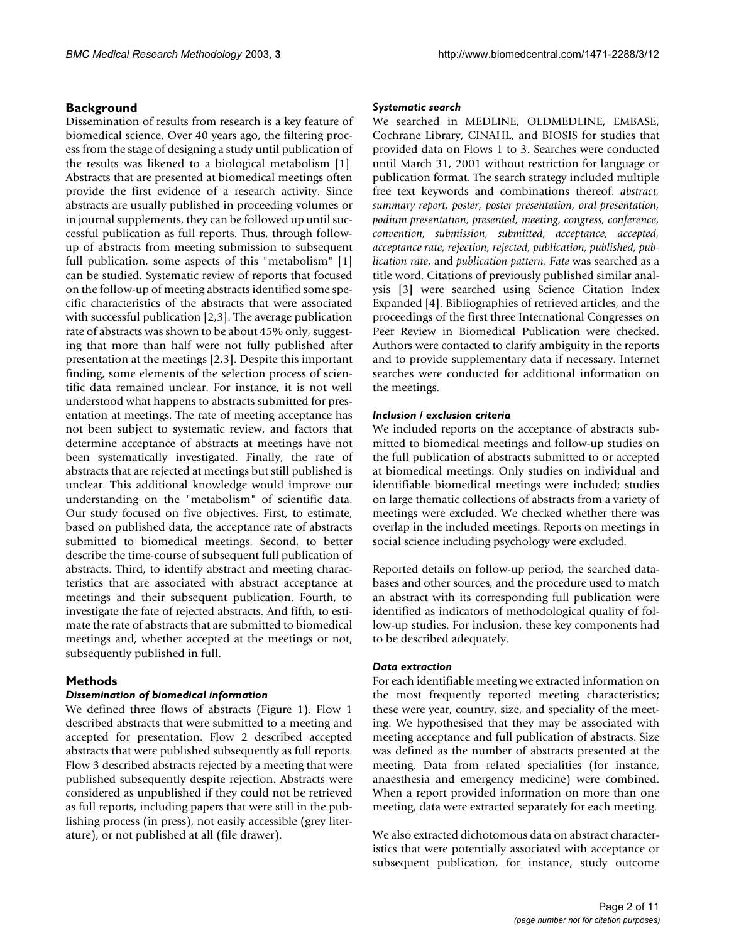#### **Background**

Dissemination of results from research is a key feature of biomedical science. Over 40 years ago, the filtering process from the stage of designing a study until publication of the results was likened to a biological metabolism [1]. Abstracts that are presented at biomedical meetings often provide the first evidence of a research activity. Since abstracts are usually published in proceeding volumes or in journal supplements, they can be followed up until successful publication as full reports. Thus, through followup of abstracts from meeting submission to subsequent full publication, some aspects of this "metabolism" [1] can be studied. Systematic review of reports that focused on the follow-up of meeting abstracts identified some specific characteristics of the abstracts that were associated with successful publication [2,3]. The average publication rate of abstracts was shown to be about 45% only, suggesting that more than half were not fully published after presentation at the meetings [2,3]. Despite this important finding, some elements of the selection process of scientific data remained unclear. For instance, it is not well understood what happens to abstracts submitted for presentation at meetings. The rate of meeting acceptance has not been subject to systematic review, and factors that determine acceptance of abstracts at meetings have not been systematically investigated. Finally, the rate of abstracts that are rejected at meetings but still published is unclear. This additional knowledge would improve our understanding on the "metabolism" of scientific data. Our study focused on five objectives. First, to estimate, based on published data, the acceptance rate of abstracts submitted to biomedical meetings. Second, to better describe the time-course of subsequent full publication of abstracts. Third, to identify abstract and meeting characteristics that are associated with abstract acceptance at meetings and their subsequent publication. Fourth, to investigate the fate of rejected abstracts. And fifth, to estimate the rate of abstracts that are submitted to biomedical meetings and, whether accepted at the meetings or not, subsequently published in full.

#### **Methods**

#### *Dissemination of biomedical information*

We defined three flows of abstracts (Figure [1](#page-2-0)). Flow 1 described abstracts that were submitted to a meeting and accepted for presentation. Flow 2 described accepted abstracts that were published subsequently as full reports. Flow 3 described abstracts rejected by a meeting that were published subsequently despite rejection. Abstracts were considered as unpublished if they could not be retrieved as full reports, including papers that were still in the publishing process (in press), not easily accessible (grey literature), or not published at all (file drawer).

#### *Systematic search*

We searched in MEDLINE, OLDMEDLINE, EMBASE, Cochrane Library, CINAHL, and BIOSIS for studies that provided data on Flows 1 to 3. Searches were conducted until March 31, 2001 without restriction for language or publication format. The search strategy included multiple free text keywords and combinations thereof: *abstract, summary report, poster, poster presentation, oral presentation, podium presentation, presented, meeting, congress, conference, convention, submission, submitted, acceptance, accepted, acceptance rate, rejection, rejected, publication, published, publication rate*, and *publication pattern*. *Fate* was searched as a title word. Citations of previously published similar analysis [3] were searched using Science Citation Index Expanded [4]. Bibliographies of retrieved articles, and the proceedings of the first three International Congresses on Peer Review in Biomedical Publication were checked. Authors were contacted to clarify ambiguity in the reports and to provide supplementary data if necessary. Internet searches were conducted for additional information on the meetings.

#### *Inclusion / exclusion criteria*

We included reports on the acceptance of abstracts submitted to biomedical meetings and follow-up studies on the full publication of abstracts submitted to or accepted at biomedical meetings. Only studies on individual and identifiable biomedical meetings were included; studies on large thematic collections of abstracts from a variety of meetings were excluded. We checked whether there was overlap in the included meetings. Reports on meetings in social science including psychology were excluded.

Reported details on follow-up period, the searched databases and other sources, and the procedure used to match an abstract with its corresponding full publication were identified as indicators of methodological quality of follow-up studies. For inclusion, these key components had to be described adequately.

#### *Data extraction*

For each identifiable meeting we extracted information on the most frequently reported meeting characteristics; these were year, country, size, and speciality of the meeting. We hypothesised that they may be associated with meeting acceptance and full publication of abstracts. Size was defined as the number of abstracts presented at the meeting. Data from related specialities (for instance, anaesthesia and emergency medicine) were combined. When a report provided information on more than one meeting, data were extracted separately for each meeting.

We also extracted dichotomous data on abstract characteristics that were potentially associated with acceptance or subsequent publication, for instance, study outcome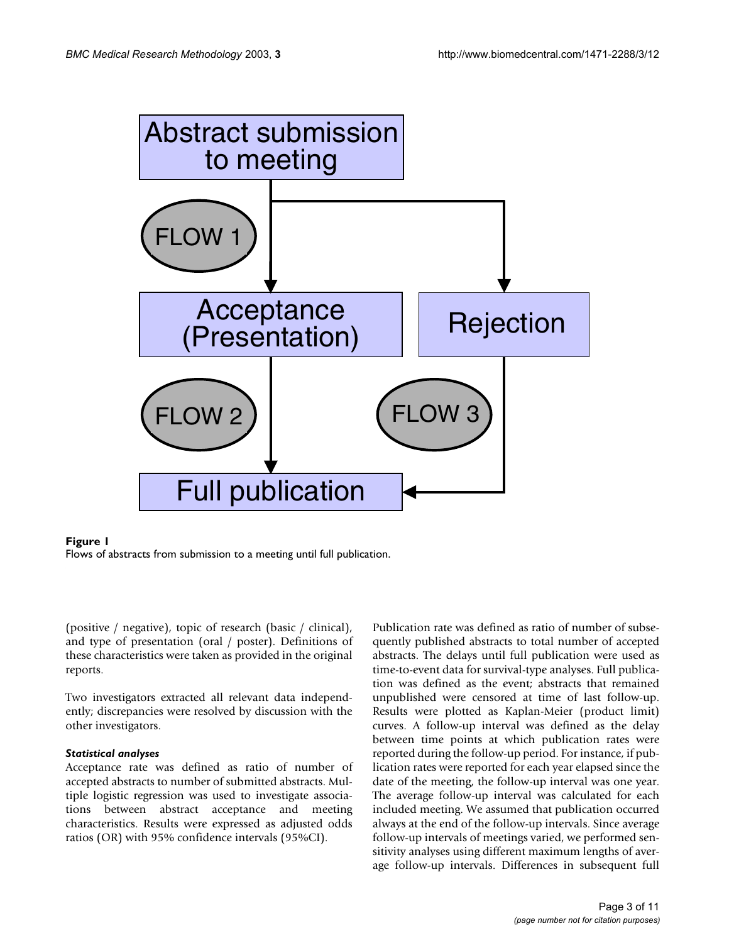<span id="page-2-0"></span>

Figure 1 Flows of abstracts from submission to a meeting until full publication.

(positive / negative), topic of research (basic / clinical), and type of presentation (oral / poster). Definitions of these characteristics were taken as provided in the original reports.

Two investigators extracted all relevant data independently; discrepancies were resolved by discussion with the other investigators.

#### *Statistical analyses*

Acceptance rate was defined as ratio of number of accepted abstracts to number of submitted abstracts. Multiple logistic regression was used to investigate associations between abstract acceptance and meeting characteristics. Results were expressed as adjusted odds ratios (OR) with 95% confidence intervals (95%CI).

Publication rate was defined as ratio of number of subsequently published abstracts to total number of accepted abstracts. The delays until full publication were used as time-to-event data for survival-type analyses. Full publication was defined as the event; abstracts that remained unpublished were censored at time of last follow-up. Results were plotted as Kaplan-Meier (product limit) curves. A follow-up interval was defined as the delay between time points at which publication rates were reported during the follow-up period. For instance, if publication rates were reported for each year elapsed since the date of the meeting, the follow-up interval was one year. The average follow-up interval was calculated for each included meeting. We assumed that publication occurred always at the end of the follow-up intervals. Since average follow-up intervals of meetings varied, we performed sensitivity analyses using different maximum lengths of average follow-up intervals. Differences in subsequent full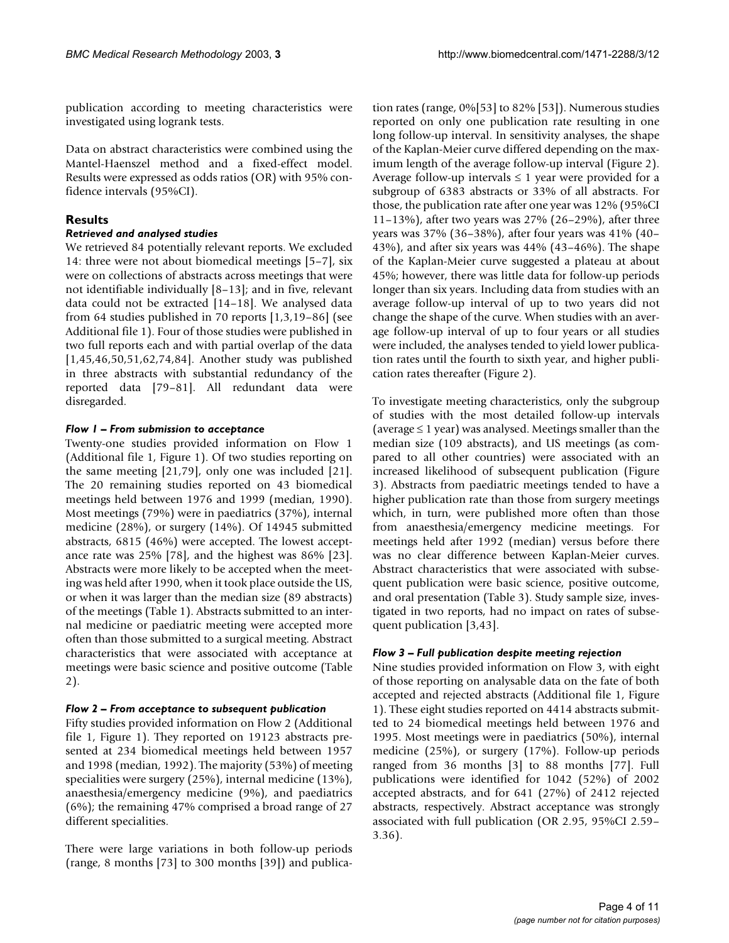publication according to meeting characteristics were investigated using logrank tests.

Data on abstract characteristics were combined using the Mantel-Haenszel method and a fixed-effect model. Results were expressed as odds ratios (OR) with 95% confidence intervals (95%CI).

## **Results**

## *Retrieved and analysed studies*

We retrieved 84 potentially relevant reports. We excluded 14: three were not about biomedical meetings [5–7], six were on collections of abstracts across meetings that were not identifiable individually [8–13]; and in five, relevant data could not be extracted [14–18]. We analysed data from 64 studies published in 70 reports [1,3,19–86] (see Additional file 1). Four of those studies were published in two full reports each and with partial overlap of the data [1,45,46,50,51,62,74,84]. Another study was published in three abstracts with substantial redundancy of the reported data [79–81]. All redundant data were disregarded.

#### *Flow 1 – From submission to acceptance*

Twenty-one studies provided information on Flow 1 (Additional file 1, Figure [1\)](#page-2-0). Of two studies reporting on the same meeting [21,79], only one was included [21]. The 20 remaining studies reported on 43 biomedical meetings held between 1976 and 1999 (median, 1990). Most meetings (79%) were in paediatrics (37%), internal medicine (28%), or surgery (14%). Of 14945 submitted abstracts, 6815 (46%) were accepted. The lowest acceptance rate was 25% [78], and the highest was 86% [23]. Abstracts were more likely to be accepted when the meeting was held after 1990, when it took place outside the US, or when it was larger than the median size (89 abstracts) of the meetings (Table [1](#page-4-0)). Abstracts submitted to an internal medicine or paediatric meeting were accepted more often than those submitted to a surgical meeting. Abstract characteristics that were associated with acceptance at meetings were basic science and positive outcome (Table [2\)](#page-4-1).

## *Flow 2 – From acceptance to subsequent publication*

Fifty studies provided information on Flow 2 (Additional file 1, Figure [1](#page-2-0)). They reported on 19123 abstracts presented at 234 biomedical meetings held between 1957 and 1998 (median, 1992). The majority (53%) of meeting specialities were surgery (25%), internal medicine (13%), anaesthesia/emergency medicine (9%), and paediatrics (6%); the remaining 47% comprised a broad range of 27 different specialities.

There were large variations in both follow-up periods (range, 8 months [73] to 300 months [39]) and publication rates (range, 0%[53] to 82% [53]). Numerous studies reported on only one publication rate resulting in one long follow-up interval. In sensitivity analyses, the shape of the Kaplan-Meier curve differed depending on the maximum length of the average follow-up interval (Figure 2). Average follow-up intervals  $\leq 1$  year were provided for a subgroup of 6383 abstracts or 33% of all abstracts. For those, the publication rate after one year was 12% (95%CI 11–13%), after two years was 27% (26–29%), after three years was 37% (36–38%), after four years was 41% (40– 43%), and after six years was 44% (43–46%). The shape of the Kaplan-Meier curve suggested a plateau at about 45%; however, there was little data for follow-up periods longer than six years. Including data from studies with an average follow-up interval of up to two years did not change the shape of the curve. When studies with an average follow-up interval of up to four years or all studies were included, the analyses tended to yield lower publication rates until the fourth to sixth year, and higher publication rates thereafter (Figure 2).

To investigate meeting characteristics, only the subgroup of studies with the most detailed follow-up intervals (average  $\leq 1$  year) was analysed. Meetings smaller than the median size (109 abstracts), and US meetings (as compared to all other countries) were associated with an increased likelihood of subsequent publication (Figure [3](#page-6-0)). Abstracts from paediatric meetings tended to have a higher publication rate than those from surgery meetings which, in turn, were published more often than those from anaesthesia/emergency medicine meetings. For meetings held after 1992 (median) versus before there was no clear difference between Kaplan-Meier curves. Abstract characteristics that were associated with subsequent publication were basic science, positive outcome, and oral presentation (Table [3\)](#page-6-1). Study sample size, investigated in two reports, had no impact on rates of subsequent publication [3,43].

## *Flow 3 – Full publication despite meeting rejection*

Nine studies provided information on Flow 3, with eight of those reporting on analysable data on the fate of both accepted and rejected abstracts (Additional file 1, Figure [1](#page-2-0)). These eight studies reported on 4414 abstracts submitted to 24 biomedical meetings held between 1976 and 1995. Most meetings were in paediatrics (50%), internal medicine (25%), or surgery (17%). Follow-up periods ranged from 36 months [3] to 88 months [77]. Full publications were identified for 1042 (52%) of 2002 accepted abstracts, and for 641 (27%) of 2412 rejected abstracts, respectively. Abstract acceptance was strongly associated with full publication (OR 2.95, 95%CI 2.59– 3.36).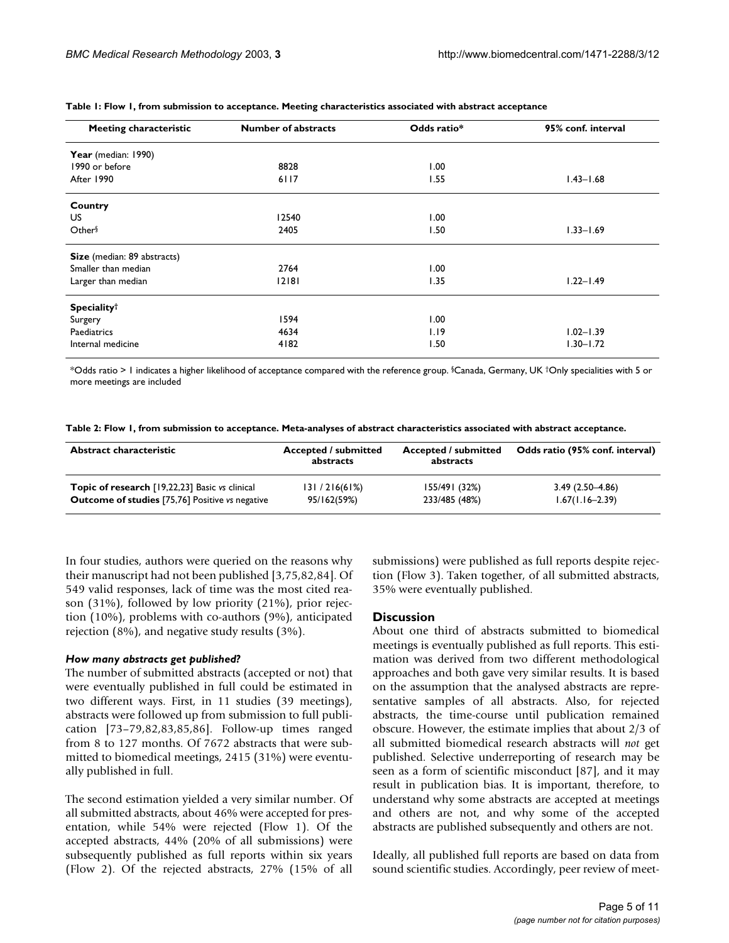| <b>Meeting characteristic</b>  | <b>Number of abstracts</b> | Odds ratio* | 95% conf. interval |
|--------------------------------|----------------------------|-------------|--------------------|
| Year (median: 1990)            |                            |             |                    |
| 1990 or before                 | 8828                       | 1.00        |                    |
| After 1990                     | 6117                       | 1.55        | $1.43 - 1.68$      |
| Country                        |                            |             |                    |
| US.                            | 12540                      | 1.00        |                    |
| Other <sup>§</sup>             | 2405                       | 1.50        | $1.33 - 1.69$      |
| Size (median: 89 abstracts)    |                            |             |                    |
| Smaller than median            | 2764                       | 1.00        |                    |
| Larger than median             | 12181                      | 1.35        | $1.22 - 1.49$      |
| <b>Speciality</b> <sup>†</sup> |                            |             |                    |
| Surgery                        | 1594                       | 1.00        |                    |
| Paediatrics                    | 4634                       | 1.19        | $1.02 - 1.39$      |
| Internal medicine              | 4182                       | 1.50        | $1.30 - 1.72$      |

#### <span id="page-4-0"></span>**Table 1: Flow 1, from submission to acceptance. Meeting characteristics associated with abstract acceptance**

\*Odds ratio > 1 indicates a higher likelihood of acceptance compared with the reference group. §Canada, Germany, UK †Only specialities with 5 or more meetings are included

<span id="page-4-1"></span>

|  | Table 2: Flow 1, from submission to acceptance. Meta-analyses of abstract characteristics associated with abstract acceptance. |  |  |  |
|--|--------------------------------------------------------------------------------------------------------------------------------|--|--|--|
|--|--------------------------------------------------------------------------------------------------------------------------------|--|--|--|

| <b>Abstract characteristic</b>                         | Accepted / submitted<br>abstracts | <b>Accepted / submitted</b><br>abstracts | Odds ratio (95% conf. interval) |
|--------------------------------------------------------|-----------------------------------|------------------------------------------|---------------------------------|
| Topic of research [19,22,23] Basic vs clinical         | 131 / 216(61%)                    | 155/491 (32%)                            | $3.49(2.50 - 4.86)$             |
| <b>Outcome of studies</b> [75,76] Positive vs negative | 95/162(59%)                       | 233/485 (48%)                            | $1.67(1.16 - 2.39)$             |

In four studies, authors were queried on the reasons why their manuscript had not been published [3,75,82,84]. Of 549 valid responses, lack of time was the most cited reason (31%), followed by low priority (21%), prior rejection (10%), problems with co-authors (9%), anticipated rejection (8%), and negative study results (3%).

#### *How many abstracts get published?*

The number of submitted abstracts (accepted or not) that were eventually published in full could be estimated in two different ways. First, in 11 studies (39 meetings), abstracts were followed up from submission to full publication [73–79,82,83,85,86]. Follow-up times ranged from 8 to 127 months. Of 7672 abstracts that were submitted to biomedical meetings, 2415 (31%) were eventually published in full.

The second estimation yielded a very similar number. Of all submitted abstracts, about 46% were accepted for presentation, while 54% were rejected (Flow 1). Of the accepted abstracts, 44% (20% of all submissions) were subsequently published as full reports within six years (Flow 2). Of the rejected abstracts, 27% (15% of all

submissions) were published as full reports despite rejection (Flow 3). Taken together, of all submitted abstracts, 35% were eventually published.

#### **Discussion**

About one third of abstracts submitted to biomedical meetings is eventually published as full reports. This estimation was derived from two different methodological approaches and both gave very similar results. It is based on the assumption that the analysed abstracts are representative samples of all abstracts. Also, for rejected abstracts, the time-course until publication remained obscure. However, the estimate implies that about 2/3 of all submitted biomedical research abstracts will *not* get published. Selective underreporting of research may be seen as a form of scientific misconduct [87], and it may result in publication bias. It is important, therefore, to understand why some abstracts are accepted at meetings and others are not, and why some of the accepted abstracts are published subsequently and others are not.

Ideally, all published full reports are based on data from sound scientific studies. Accordingly, peer review of meet-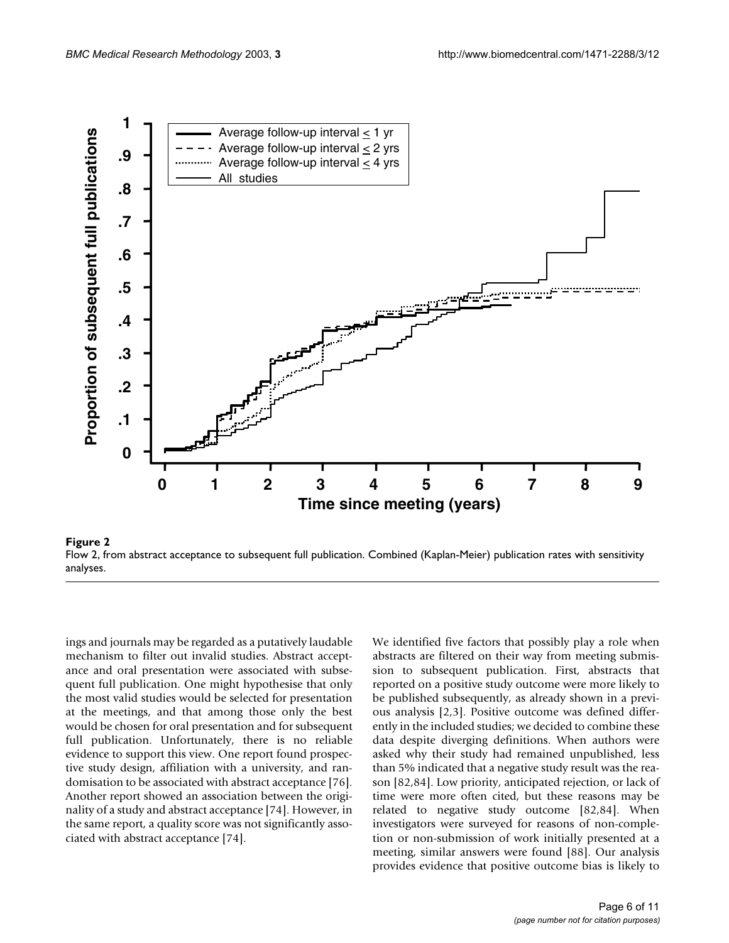



ings and journals may be regarded as a putatively laudable mechanism to filter out invalid studies. Abstract acceptance and oral presentation were associated with subsequent full publication. One might hypothesise that only the most valid studies would be selected for presentation at the meetings, and that among those only the best would be chosen for oral presentation and for subsequent full publication. Unfortunately, there is no reliable evidence to support this view. One report found prospective study design, affiliation with a university, and randomisation to be associated with abstract acceptance [76]. Another report showed an association between the originality of a study and abstract acceptance [74]. However, in the same report, a quality score was not significantly associated with abstract acceptance [74].

We identified five factors that possibly play a role when abstracts are filtered on their way from meeting submission to subsequent publication. First, abstracts that reported on a positive study outcome were more likely to be published subsequently, as already shown in a previous analysis [2,3]. Positive outcome was defined differently in the included studies; we decided to combine these data despite diverging definitions. When authors were asked why their study had remained unpublished, less than 5% indicated that a negative study result was the reason [82,84]. Low priority, anticipated rejection, or lack of time were more often cited, but these reasons may be related to negative study outcome [82,84]. When investigators were surveyed for reasons of non-completion or non-submission of work initially presented at a meeting, similar answers were found [88]. Our analysis provides evidence that positive outcome bias is likely to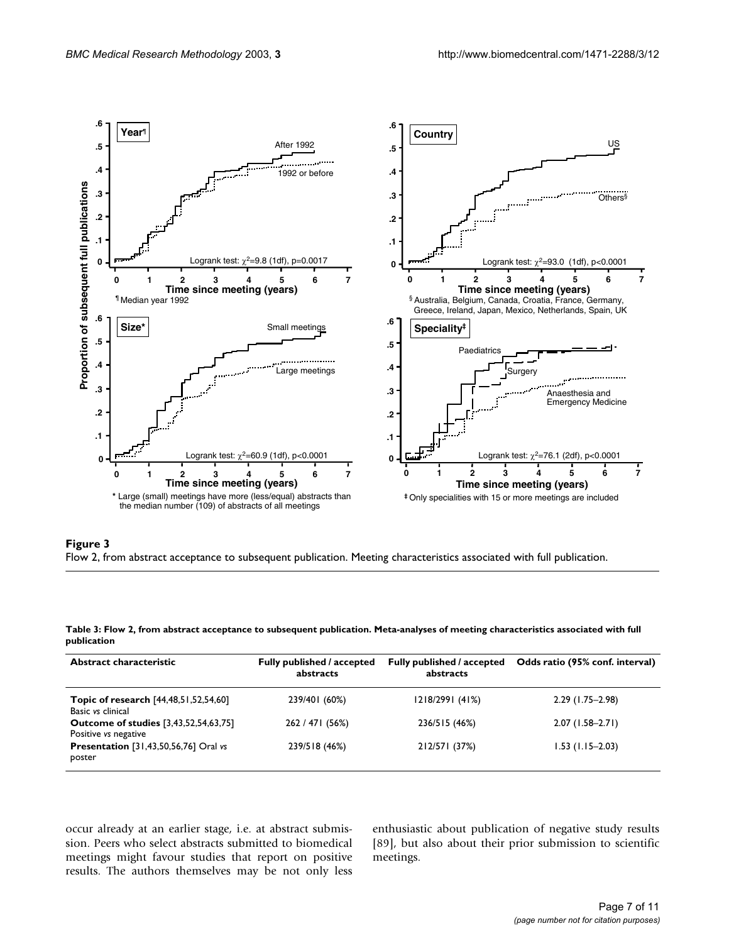<span id="page-6-0"></span>



<span id="page-6-1"></span>**Table 3: Flow 2, from abstract acceptance to subsequent publication. Meta-analyses of meeting characteristics associated with full publication**

| Abstract characteristic                                              | Fully published / accepted<br>abstracts | Fully published / accepted<br>abstracts | Odds ratio (95% conf. interval) |
|----------------------------------------------------------------------|-----------------------------------------|-----------------------------------------|---------------------------------|
| Topic of research [44,48,51,52,54,60]<br>Basic vs clinical           | 239/401 (60%)                           | 1218/2991(41%)                          | $2.29$ (1.75–2.98)              |
| <b>Outcome of studies</b> [3,43,52,54,63,75]<br>Positive vs negative | 262 / 471 (56%)                         | 236/515 (46%)                           | $2.07(1.58-2.71)$               |
| <b>Presentation</b> [31,43,50,56,76] Oral vs<br>poster               | 239/518 (46%)                           | 212/571 (37%)                           | I.53 (I.15–2.03)                |

occur already at an earlier stage, i.e. at abstract submission. Peers who select abstracts submitted to biomedical meetings might favour studies that report on positive results. The authors themselves may be not only less enthusiastic about publication of negative study results [89], but also about their prior submission to scientific meetings.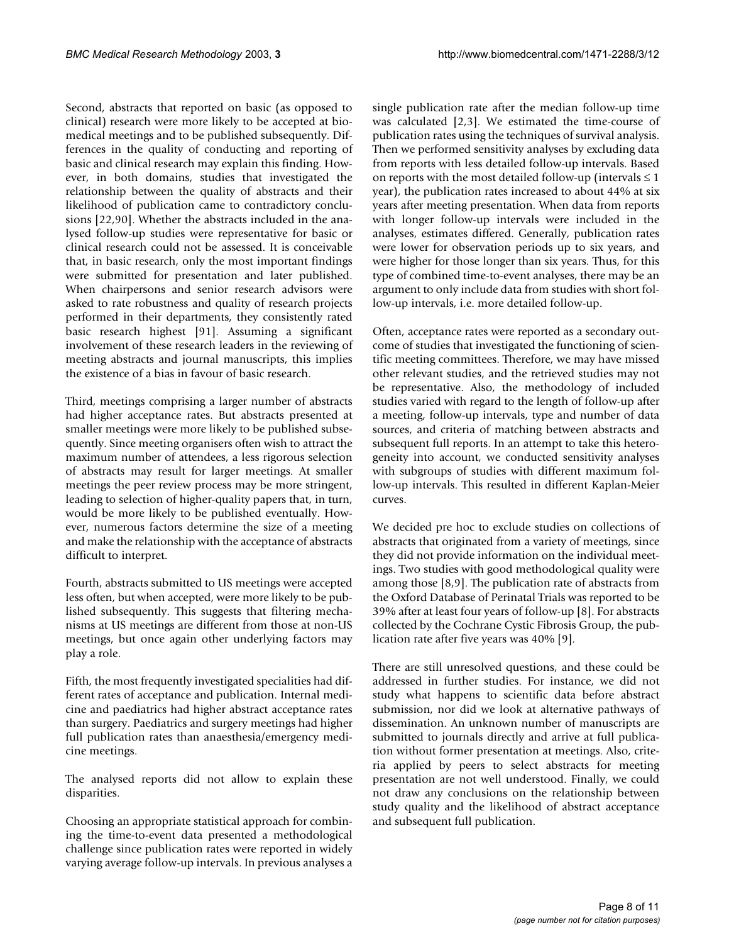Second, abstracts that reported on basic (as opposed to clinical) research were more likely to be accepted at biomedical meetings and to be published subsequently. Differences in the quality of conducting and reporting of basic and clinical research may explain this finding. However, in both domains, studies that investigated the relationship between the quality of abstracts and their likelihood of publication came to contradictory conclusions [22,90]. Whether the abstracts included in the analysed follow-up studies were representative for basic or clinical research could not be assessed. It is conceivable that, in basic research, only the most important findings were submitted for presentation and later published. When chairpersons and senior research advisors were asked to rate robustness and quality of research projects performed in their departments, they consistently rated basic research highest [91]. Assuming a significant involvement of these research leaders in the reviewing of meeting abstracts and journal manuscripts, this implies the existence of a bias in favour of basic research.

Third, meetings comprising a larger number of abstracts had higher acceptance rates. But abstracts presented at smaller meetings were more likely to be published subsequently. Since meeting organisers often wish to attract the maximum number of attendees, a less rigorous selection of abstracts may result for larger meetings. At smaller meetings the peer review process may be more stringent, leading to selection of higher-quality papers that, in turn, would be more likely to be published eventually. However, numerous factors determine the size of a meeting and make the relationship with the acceptance of abstracts difficult to interpret.

Fourth, abstracts submitted to US meetings were accepted less often, but when accepted, were more likely to be published subsequently. This suggests that filtering mechanisms at US meetings are different from those at non-US meetings, but once again other underlying factors may play a role.

Fifth, the most frequently investigated specialities had different rates of acceptance and publication. Internal medicine and paediatrics had higher abstract acceptance rates than surgery. Paediatrics and surgery meetings had higher full publication rates than anaesthesia/emergency medicine meetings.

The analysed reports did not allow to explain these disparities.

Choosing an appropriate statistical approach for combining the time-to-event data presented a methodological challenge since publication rates were reported in widely varying average follow-up intervals. In previous analyses a

single publication rate after the median follow-up time was calculated [2,3]. We estimated the time-course of publication rates using the techniques of survival analysis. Then we performed sensitivity analyses by excluding data from reports with less detailed follow-up intervals. Based on reports with the most detailed follow-up (intervals  $\leq 1$ year), the publication rates increased to about 44% at six years after meeting presentation. When data from reports with longer follow-up intervals were included in the analyses, estimates differed. Generally, publication rates were lower for observation periods up to six years, and were higher for those longer than six years. Thus, for this type of combined time-to-event analyses, there may be an argument to only include data from studies with short follow-up intervals, i.e. more detailed follow-up.

Often, acceptance rates were reported as a secondary outcome of studies that investigated the functioning of scientific meeting committees. Therefore, we may have missed other relevant studies, and the retrieved studies may not be representative. Also, the methodology of included studies varied with regard to the length of follow-up after a meeting, follow-up intervals, type and number of data sources, and criteria of matching between abstracts and subsequent full reports. In an attempt to take this heterogeneity into account, we conducted sensitivity analyses with subgroups of studies with different maximum follow-up intervals. This resulted in different Kaplan-Meier curves.

We decided pre hoc to exclude studies on collections of abstracts that originated from a variety of meetings, since they did not provide information on the individual meetings. Two studies with good methodological quality were among those [8,9]. The publication rate of abstracts from the Oxford Database of Perinatal Trials was reported to be 39% after at least four years of follow-up [8]. For abstracts collected by the Cochrane Cystic Fibrosis Group, the publication rate after five years was 40% [9].

There are still unresolved questions, and these could be addressed in further studies. For instance, we did not study what happens to scientific data before abstract submission, nor did we look at alternative pathways of dissemination. An unknown number of manuscripts are submitted to journals directly and arrive at full publication without former presentation at meetings. Also, criteria applied by peers to select abstracts for meeting presentation are not well understood. Finally, we could not draw any conclusions on the relationship between study quality and the likelihood of abstract acceptance and subsequent full publication.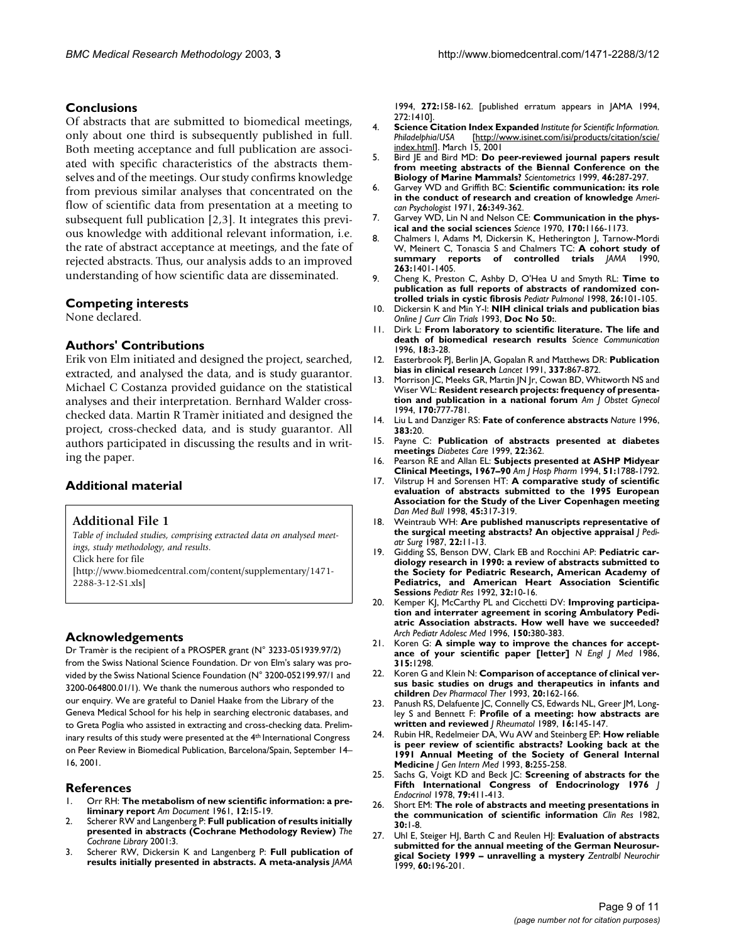## **Conclusions**

Of abstracts that are submitted to biomedical meetings, only about one third is subsequently published in full. Both meeting acceptance and full publication are associated with specific characteristics of the abstracts themselves and of the meetings. Our study confirms knowledge from previous similar analyses that concentrated on the flow of scientific data from presentation at a meeting to subsequent full publication [2,3]. It integrates this previous knowledge with additional relevant information, i.e. the rate of abstract acceptance at meetings, and the fate of rejected abstracts. Thus, our analysis adds to an improved understanding of how scientific data are disseminated.

## **Competing interests**

None declared.

## **Authors' Contributions**

Erik von Elm initiated and designed the project, searched, extracted, and analysed the data, and is study guarantor. Michael C Costanza provided guidance on the statistical analyses and their interpretation. Bernhard Walder crosschecked data. Martin R Tramèr initiated and designed the project, cross-checked data, and is study guarantor. All authors participated in discussing the results and in writing the paper.

## **Additional material**

## **Additional File 1**

*Table of included studies, comprising extracted data on analysed meetings, study methodology, and results.* Click here for file [\[http://www.biomedcentral.com/content/supplementary/1471-](http://www.biomedcentral.com/content/supplementary/1471-2288-3-12-S1.xls) 2288-3-12-S1.xls]

## **Acknowledgements**

Dr Tramèr is the recipient of a PROSPER grant (N° 3233-051939.97/2) from the Swiss National Science Foundation. Dr von Elm's salary was provided by the Swiss National Science Foundation (N° 3200-052199.97/1 and 3200-064800.01/1). We thank the numerous authors who responded to our enquiry. We are grateful to Daniel Haake from the Library of the Geneva Medical School for his help in searching electronic databases, and to Greta Poglia who assisted in extracting and cross-checking data. Preliminary results of this study were presented at the 4<sup>th</sup> International Congress on Peer Review in Biomedical Publication, Barcelona/Spain, September 14– 16, 2001.

#### **References**

- Orr RH: The metabolism of new scientific information: a pre**liminary report** *Am Document* 1961, **12:**15-19.
- 2. Scherer RW and Langenberg P: **Full publication of results initially presented in abstracts (Cochrane Methodology Review)** *The Cochrane Library* 2001:3.
- 3. Scherer RW, Dickersin K and Langenberg P: **[Full publication of](http://www.ncbi.nlm.nih.gov/entrez/query.fcgi?cmd=Retrieve&db=PubMed&dopt=Abstract&list_uids=8015133) [results initially presented in abstracts. A meta-analysis](http://www.ncbi.nlm.nih.gov/entrez/query.fcgi?cmd=Retrieve&db=PubMed&dopt=Abstract&list_uids=8015133)** *JAMA*

1994, **272:**158-162. [published erratum appears in JAMA 1994, 272:1410].

- 4. **Science Citation Index Expanded** *Institute for Scientific Information.* [[http://www.isinet.com/isi/products/citation/scie/](http://www.isinet.com/isi/products/citation/scie/index.html) [index.html](http://www.isinet.com/isi/products/citation/scie/index.html)]. March 15, 2001
- 5. Bird JE and Bird MD: **Do peer-reviewed journal papers result from meeting abstracts of the Biennal Conference on the Biology of Marine Mammals?** *Scientometrics* 1999, **46:**287-297.
- 6. Garvey WD and Griffith BC: **Scientific communication: its role in the conduct of research and creation of knowledge** *American Psychologist* 1971, **26:**349-362.
- 7. Garvey WD, Lin N and Nelson CE: **[Communication in the phys](http://www.ncbi.nlm.nih.gov/entrez/query.fcgi?cmd=Retrieve&db=PubMed&dopt=Abstract&list_uids=5478190)[ical and the social sciences](http://www.ncbi.nlm.nih.gov/entrez/query.fcgi?cmd=Retrieve&db=PubMed&dopt=Abstract&list_uids=5478190)** *Science* 1970, **170:**1166-1173.
- 8. Chalmers I, Adams M, Dickersin K, Hetherington J, Tarnow-Mordi W, Meinert C, Tonascia S and Chalmers TC: **[A cohort study of](http://www.ncbi.nlm.nih.gov/entrez/query.fcgi?cmd=Retrieve&db=PubMed&dopt=Abstract&list_uids=2304219) [summary reports of controlled trials](http://www.ncbi.nlm.nih.gov/entrez/query.fcgi?cmd=Retrieve&db=PubMed&dopt=Abstract&list_uids=2304219)** *JAMA* 1990, **263:**1401-1405.
- 9. Cheng K, Preston C, Ashby D, O'Hea U and Smyth RL: **[Time to](http://www.ncbi.nlm.nih.gov/entrez/query.fcgi?cmd=Retrieve&db=PubMed&dopt=Abstract&list_uids=9727760) [publication as full reports of abstracts of randomized con](http://www.ncbi.nlm.nih.gov/entrez/query.fcgi?cmd=Retrieve&db=PubMed&dopt=Abstract&list_uids=9727760)[trolled trials in cystic fibrosis](http://www.ncbi.nlm.nih.gov/entrez/query.fcgi?cmd=Retrieve&db=PubMed&dopt=Abstract&list_uids=9727760)** *Pediatr Pulmonol* 1998, **26:**101-105.
- 10. Dickersin K and Min Y-I: **NIH clinical trials and publication bias** *Online J Curr Clin Trials* 1993, **Doc No 50:**.
- 11. Dirk L: **From laboratory to scientific literature. The life and death of biomedical research results** *Science Communication* 1996, **18:**3-28.
- 12. Easterbrook PJ, Berlin JA, Gopalan R and Matthews DR: **[Publication](http://www.ncbi.nlm.nih.gov/entrez/query.fcgi?cmd=Retrieve&db=PubMed&dopt=Abstract&list_uids=1672966) [bias in clinical research](http://www.ncbi.nlm.nih.gov/entrez/query.fcgi?cmd=Retrieve&db=PubMed&dopt=Abstract&list_uids=1672966)** *Lancet* 1991, **337:**867-872.
- 13. Morrison JC, Meeks GR, Martin JN Jr, Cowan BD, Whitworth NS and Wiser WL: **[Resident research projects: frequency of presenta](http://www.ncbi.nlm.nih.gov/entrez/query.fcgi?cmd=Retrieve&db=PubMed&dopt=Abstract&list_uids=8141200)[tion and publication in a national forum](http://www.ncbi.nlm.nih.gov/entrez/query.fcgi?cmd=Retrieve&db=PubMed&dopt=Abstract&list_uids=8141200)** *Am J Obstet Gynecol* 1994, **170:**777-781.
- 14. Liu L and Danziger RS: **[Fate of conference abstracts](http://www.ncbi.nlm.nih.gov/entrez/query.fcgi?cmd=Retrieve&db=PubMed&dopt=Abstract&list_uids=8779706)** *Nature* 1996, **383:**20.
- 15. Payne C: **[Publication of abstracts presented at diabetes](http://www.ncbi.nlm.nih.gov/entrez/query.fcgi?cmd=Retrieve&db=PubMed&dopt=Abstract&list_uids=10333959) [meetings](http://www.ncbi.nlm.nih.gov/entrez/query.fcgi?cmd=Retrieve&db=PubMed&dopt=Abstract&list_uids=10333959)** *Diabetes Care* 1999, **22:**362.
- 16. Pearson RE and Allan EL: **[Subjects presented at ASHP Midyear](http://www.ncbi.nlm.nih.gov/entrez/query.fcgi?cmd=Retrieve&db=PubMed&dopt=Abstract&list_uids=7942907) [Clinical Meetings, 1967–90](http://www.ncbi.nlm.nih.gov/entrez/query.fcgi?cmd=Retrieve&db=PubMed&dopt=Abstract&list_uids=7942907)** *Am J Hosp Pharm* 1994, **51:**1788-1792.
- 17. Vilstrup H and Sorensen HT: **[A comparative study of scientific](http://www.ncbi.nlm.nih.gov/entrez/query.fcgi?cmd=Retrieve&db=PubMed&dopt=Abstract&list_uids=9675543) evaluation of abstracts submitted to the 1995 European [Association for the Study of the Liver Copenhagen meeting](http://www.ncbi.nlm.nih.gov/entrez/query.fcgi?cmd=Retrieve&db=PubMed&dopt=Abstract&list_uids=9675543)** *Dan Med Bull* 1998, **45:**317-319.
- 18. Weintraub WH: **[Are published manuscripts representative of](http://www.ncbi.nlm.nih.gov/entrez/query.fcgi?cmd=Retrieve&db=PubMed&dopt=Abstract&list_uids=3819986) [the surgical meeting abstracts? An objective appraisal](http://www.ncbi.nlm.nih.gov/entrez/query.fcgi?cmd=Retrieve&db=PubMed&dopt=Abstract&list_uids=3819986)** *J Pediatr Surg* 1987, **22:**11-13.
- 19. Gidding SS, Benson DW, Clark EB and Rocchini AP: **[Pediatric car](http://www.ncbi.nlm.nih.gov/entrez/query.fcgi?cmd=Retrieve&db=PubMed&dopt=Abstract&list_uids=1635833)diology research in 1990: a review of abstracts submitted to the Society for Pediatric Research, American Academy of [Pediatrics, and American Heart Association Scientific](http://www.ncbi.nlm.nih.gov/entrez/query.fcgi?cmd=Retrieve&db=PubMed&dopt=Abstract&list_uids=1635833) [Sessions](http://www.ncbi.nlm.nih.gov/entrez/query.fcgi?cmd=Retrieve&db=PubMed&dopt=Abstract&list_uids=1635833)** *Pediatr Res* 1992, **32:**10-16.
- 20. Kemper KJ, McCarthy PL and Cicchetti DV: **[Improving participa](http://www.ncbi.nlm.nih.gov/entrez/query.fcgi?cmd=Retrieve&db=PubMed&dopt=Abstract&list_uids=8634732)[tion and interrater agreement in scoring Ambulatory Pedi](http://www.ncbi.nlm.nih.gov/entrez/query.fcgi?cmd=Retrieve&db=PubMed&dopt=Abstract&list_uids=8634732)atric Association abstracts. How well have we succeeded?** *Arch Pediatr Adolesc Med* 1996, **150:**380-383.
- 21. Koren G: **[A simple way to improve the chances for accept](http://www.ncbi.nlm.nih.gov/entrez/query.fcgi?cmd=Retrieve&db=PubMed&dopt=Abstract&list_uids=3773951)[ance of your scientific paper \[letter\]](http://www.ncbi.nlm.nih.gov/entrez/query.fcgi?cmd=Retrieve&db=PubMed&dopt=Abstract&list_uids=3773951)** *N Engl J Med* 1986, **315:**1298.
- 22. Koren G and Klein N: **[Comparison of acceptance of clinical ver](http://www.ncbi.nlm.nih.gov/entrez/query.fcgi?cmd=Retrieve&db=PubMed&dopt=Abstract&list_uids=7828448)[sus basic studies on drugs and therapeutics in infants and](http://www.ncbi.nlm.nih.gov/entrez/query.fcgi?cmd=Retrieve&db=PubMed&dopt=Abstract&list_uids=7828448) [children](http://www.ncbi.nlm.nih.gov/entrez/query.fcgi?cmd=Retrieve&db=PubMed&dopt=Abstract&list_uids=7828448)** *Dev Pharmacol Ther* 1993, **20:**162-166.
- 23. Panush RS, Delafuente JC, Connelly CS, Edwards NL, Greer JM, Longley S and Bennett F: **[Profile of a meeting: how abstracts are](http://www.ncbi.nlm.nih.gov/entrez/query.fcgi?cmd=Retrieve&db=PubMed&dopt=Abstract&list_uids=2746562) [written and reviewed](http://www.ncbi.nlm.nih.gov/entrez/query.fcgi?cmd=Retrieve&db=PubMed&dopt=Abstract&list_uids=2746562)** *J Rheumatol* 1989, **16:**145-147.
- 24. Rubin HR, Redelmeier DA, Wu AW and Steinberg EP: **[How reliable](http://www.ncbi.nlm.nih.gov/entrez/query.fcgi?cmd=Retrieve&db=PubMed&dopt=Abstract&list_uids=8505684) is peer review of scientific abstracts? Looking back at the [1991 Annual Meeting of the Society of General Internal](http://www.ncbi.nlm.nih.gov/entrez/query.fcgi?cmd=Retrieve&db=PubMed&dopt=Abstract&list_uids=8505684) [Medicine](http://www.ncbi.nlm.nih.gov/entrez/query.fcgi?cmd=Retrieve&db=PubMed&dopt=Abstract&list_uids=8505684)** *J Gen Intern Med* 1993, **8:**255-258.
- 25. Sachs G, Voigt KD and Beck JC: **[Screening of abstracts for the](http://www.ncbi.nlm.nih.gov/entrez/query.fcgi?cmd=Retrieve&db=PubMed&dopt=Abstract&list_uids=744941) [Fifth International Congress of Endocrinology 1976](http://www.ncbi.nlm.nih.gov/entrez/query.fcgi?cmd=Retrieve&db=PubMed&dopt=Abstract&list_uids=744941)** *J Endocrinol* 1978, **79:**411-413.
- 26. Short EM: **The role of abstracts and meeting presentations in the communication of scientific information** *Clin Res* 1982, **30:**1-8.
- 27. Uhl E, Steiger HJ, Barth C and Reulen HJ: **[Evaluation of abstracts](http://www.ncbi.nlm.nih.gov/entrez/query.fcgi?cmd=Retrieve&db=PubMed&dopt=Abstract&list_uids=10674337) [submitted for the annual meeting of the German Neurosur](http://www.ncbi.nlm.nih.gov/entrez/query.fcgi?cmd=Retrieve&db=PubMed&dopt=Abstract&list_uids=10674337)[gical Society 1999 – unravelling a mystery](http://www.ncbi.nlm.nih.gov/entrez/query.fcgi?cmd=Retrieve&db=PubMed&dopt=Abstract&list_uids=10674337)** *Zentralbl Neurochir* 1999, **60:**196-201.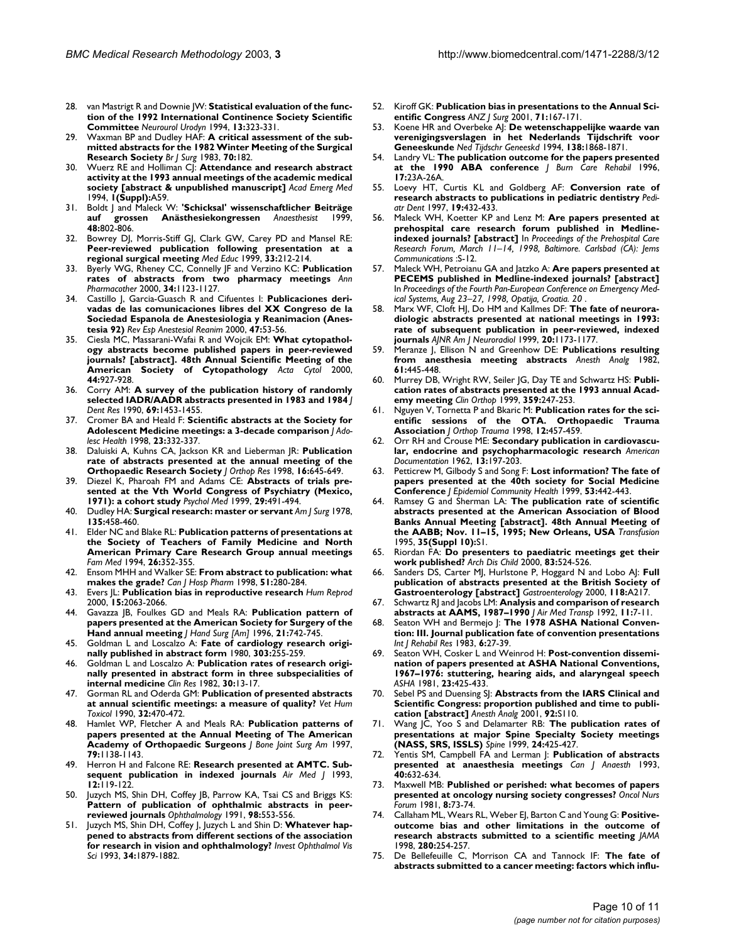- 28. van Mastrigt R and Downie |W: [Statistical evaluation of the func](http://www.ncbi.nlm.nih.gov/entrez/query.fcgi?cmd=Retrieve&db=PubMed&dopt=Abstract&list_uids=7920689)**[tion of the 1992 International Continence Society Scientific](http://www.ncbi.nlm.nih.gov/entrez/query.fcgi?cmd=Retrieve&db=PubMed&dopt=Abstract&list_uids=7920689) [Committee](http://www.ncbi.nlm.nih.gov/entrez/query.fcgi?cmd=Retrieve&db=PubMed&dopt=Abstract&list_uids=7920689)** *Neurourol Urodyn* 1994, **13:**323-331.
- 29. Waxman BP and Dudley HAF: **[A critical assessment of the sub](http://www.ncbi.nlm.nih.gov/entrez/query.fcgi?cmd=Retrieve&db=PubMed&dopt=Abstract&list_uids=6131721)[mitted abstracts for the 1982 Winter Meeting of the Surgical](http://www.ncbi.nlm.nih.gov/entrez/query.fcgi?cmd=Retrieve&db=PubMed&dopt=Abstract&list_uids=6131721) [Research Society](http://www.ncbi.nlm.nih.gov/entrez/query.fcgi?cmd=Retrieve&db=PubMed&dopt=Abstract&list_uids=6131721)** *Br J Surg* 1983, **70:**182.
- 30. Wuerz RE and Holliman CJ: **Attendance and research abstract activity at the 1993 annual meetings of the academic medical society [abstract & unpublished manuscript]** *Acad Emerg Med* 1994, **1(Suppl):**A59.
- 31. Boldt J and Maleck W: **['Schicksal' wissenschaftlicher Beiträge](http://www.ncbi.nlm.nih.gov/entrez/query.fcgi?cmd=Retrieve&db=PubMed&dopt=Abstract&list_uids=10631439) [auf grossen Anästhesiekongressen](http://www.ncbi.nlm.nih.gov/entrez/query.fcgi?cmd=Retrieve&db=PubMed&dopt=Abstract&list_uids=10631439)** *Anaesthesist* 1999, **48:**802-806.
- 32. Bowrey DJ, Morris-Stiff GJ, Clark GW, Carey PD and Mansel RE: **[Peer-reviewed publication following presentation at a](http://www.ncbi.nlm.nih.gov/entrez/query.fcgi?cmd=Retrieve&db=PubMed&dopt=Abstract&list_uids=10211242) [regional surgical meeting](http://www.ncbi.nlm.nih.gov/entrez/query.fcgi?cmd=Retrieve&db=PubMed&dopt=Abstract&list_uids=10211242)** *Med Educ* 1999, **33:**212-214.
- 33. Byerly WG, Rheney CC, Connelly JF and Verzino KC: **[Publication](http://www.ncbi.nlm.nih.gov/entrez/query.fcgi?cmd=Retrieve&db=PubMed&dopt=Abstract&list_uids=11054977) [rates of abstracts from two pharmacy meetings](http://www.ncbi.nlm.nih.gov/entrez/query.fcgi?cmd=Retrieve&db=PubMed&dopt=Abstract&list_uids=11054977)** *Ann Pharmacother* 2000, **34:**1123-1127.
- 34. Castillo J, Garcia-Guasch R and Cifuentes I: **[Publicaciones deri](http://www.ncbi.nlm.nih.gov/entrez/query.fcgi?cmd=Retrieve&db=PubMed&dopt=Abstract&list_uids=10769551)[vadas de las comunicaciones libres del XX Congreso de la](http://www.ncbi.nlm.nih.gov/entrez/query.fcgi?cmd=Retrieve&db=PubMed&dopt=Abstract&list_uids=10769551) Sociedad Espanola de Anestesiologia y Reanimacion (Anes[tesia 92\)](http://www.ncbi.nlm.nih.gov/entrez/query.fcgi?cmd=Retrieve&db=PubMed&dopt=Abstract&list_uids=10769551)** *Rev Esp Anestesiol Reanim* 2000, **47:**53-56.
- 35. Ciesla MC, Massarani-Wafai R and Wojcik EM: **What cytopathology abstracts become published papers in peer-reviewed journals? [abstract]. 48th Annual Scientific Meeting of the Society of Cytopathology** *Acta Cytol* 2000, **44:**927-928.
- 36. Corry AM: **[A survey of the publication history of randomly](http://www.ncbi.nlm.nih.gov/entrez/query.fcgi?cmd=Retrieve&db=PubMed&dopt=Abstract&list_uids=2384621) [selected IADR/AADR abstracts presented in 1983 and 1984](http://www.ncbi.nlm.nih.gov/entrez/query.fcgi?cmd=Retrieve&db=PubMed&dopt=Abstract&list_uids=2384621)** *J Dent Res* 1990, **69:**1453-1455.
- 37. Cromer BA and Heald F: **[Scientific abstracts at the Society for](http://www.ncbi.nlm.nih.gov/entrez/query.fcgi?cmd=Retrieve&db=PubMed&dopt=Abstract&list_uids=9870326) [Adolescent Medicine meetings: a 3-decade comparison](http://www.ncbi.nlm.nih.gov/entrez/query.fcgi?cmd=Retrieve&db=PubMed&dopt=Abstract&list_uids=9870326)** *J Adolesc Health* 1998, **23:**332-337.
- 38. Daluiski A, Kuhns CA, Jackson KR and Lieberman JR: **[Publication](http://www.ncbi.nlm.nih.gov/entrez/query.fcgi?cmd=Retrieve&db=PubMed&dopt=Abstract&list_uids=9877386) [rate of abstracts presented at the annual meeting of the](http://www.ncbi.nlm.nih.gov/entrez/query.fcgi?cmd=Retrieve&db=PubMed&dopt=Abstract&list_uids=9877386) [Orthopaedic Research Society](http://www.ncbi.nlm.nih.gov/entrez/query.fcgi?cmd=Retrieve&db=PubMed&dopt=Abstract&list_uids=9877386)** *J Orthop Res* 1998, **16:**645-649.
- 39. Diezel K, Pharoah FM and Adams CE: **[Abstracts of trials pre](http://www.ncbi.nlm.nih.gov/entrez/query.fcgi?cmd=Retrieve&db=PubMed&dopt=Abstract&list_uids=10218941)[sented at the Vth World Congress of Psychiatry \(Mexico,](http://www.ncbi.nlm.nih.gov/entrez/query.fcgi?cmd=Retrieve&db=PubMed&dopt=Abstract&list_uids=10218941) [1971\): a cohort study](http://www.ncbi.nlm.nih.gov/entrez/query.fcgi?cmd=Retrieve&db=PubMed&dopt=Abstract&list_uids=10218941)** *Psychol Med* 1999, **29:**491-494.
- 40. Dudley HA: **[Surgical research: master or servant](http://www.ncbi.nlm.nih.gov/entrez/query.fcgi?cmd=Retrieve&db=PubMed&dopt=Abstract&list_uids=626328)** *Am J Surg* 1978, **135:**458-460.
- 41. Elder NC and Blake RL: **[Publication patterns of presentations at](http://www.ncbi.nlm.nih.gov/entrez/query.fcgi?cmd=Retrieve&db=PubMed&dopt=Abstract&list_uids=8050655) the Society of Teachers of Family Medicine and North [American Primary Care Research Group annual meetings](http://www.ncbi.nlm.nih.gov/entrez/query.fcgi?cmd=Retrieve&db=PubMed&dopt=Abstract&list_uids=8050655)** *Fam Med* 1994, **26:**352-355.
- 42. Ensom MHH and Walker SE: **From abstract to publication: what makes the grade?** *Can J Hosp Pharm* 1998, **51:**280-284.
- 43. Evers JL: **[Publication bias in reproductive research](http://www.ncbi.nlm.nih.gov/entrez/query.fcgi?cmd=Retrieve&db=PubMed&dopt=Abstract&list_uids=11006173)** *Hum Reprod* 2000, **15:**2063-2066.
- 44. Gavazza JB, Foulkes GD and Meals RA: **[Publication pattern of](http://www.ncbi.nlm.nih.gov/entrez/query.fcgi?cmd=Retrieve&db=PubMed&dopt=Abstract&list_uids=8891967) [papers presented at the American Society for Surgery of the](http://www.ncbi.nlm.nih.gov/entrez/query.fcgi?cmd=Retrieve&db=PubMed&dopt=Abstract&list_uids=8891967) [Hand annual meeting](http://www.ncbi.nlm.nih.gov/entrez/query.fcgi?cmd=Retrieve&db=PubMed&dopt=Abstract&list_uids=8891967)** *J Hand Surg [Am]* 1996, **21:**742-745.
- 45. Goldman L and Loscalzo A: **[Fate of cardiology research origi](http://www.ncbi.nlm.nih.gov/entrez/query.fcgi?cmd=Retrieve&db=PubMed&dopt=Abstract&list_uids=6104296)[nally published in abstract form](http://www.ncbi.nlm.nih.gov/entrez/query.fcgi?cmd=Retrieve&db=PubMed&dopt=Abstract&list_uids=6104296)** 1980, **303:**255-259.
- 46. Goldman L and Loscalzo A: **Publication rates of research originally presented in abstract form in three subspecialities of internal medicine** *Clin Res* 1982, **30:**13-17.
- 47. Gorman RL and Oderda GM: **[Publication of presented abstracts](http://www.ncbi.nlm.nih.gov/entrez/query.fcgi?cmd=Retrieve&db=PubMed&dopt=Abstract&list_uids=2238450) [at annual scientific meetings: a measure of quality?](http://www.ncbi.nlm.nih.gov/entrez/query.fcgi?cmd=Retrieve&db=PubMed&dopt=Abstract&list_uids=2238450)** *Vet Hum Toxicol* 1990, **32:**470-472.
- 48. Hamlet WP, Fletcher A and Meals RA: **[Publication patterns of](http://www.ncbi.nlm.nih.gov/entrez/query.fcgi?cmd=Retrieve&db=PubMed&dopt=Abstract&list_uids=9278072) [papers presented at the Annual Meeting of The American](http://www.ncbi.nlm.nih.gov/entrez/query.fcgi?cmd=Retrieve&db=PubMed&dopt=Abstract&list_uids=9278072) [Academy of Orthopaedic Surgeons](http://www.ncbi.nlm.nih.gov/entrez/query.fcgi?cmd=Retrieve&db=PubMed&dopt=Abstract&list_uids=9278072)** *J Bone Joint Surg Am* 1997, **79:**1138-1143.
- 49. Herron H and Falcone RE: **Research presented at AMTC. Subsequent publication in indexed journals** *Air Med J* 1993, **12:**119-122.
- 50. Juzych MS, Shin DH, Coffey JB, Parrow KA, Tsai CS and Briggs KS: **[Pattern of publication of ophthalmic abstracts in peer](http://www.ncbi.nlm.nih.gov/entrez/query.fcgi?cmd=Retrieve&db=PubMed&dopt=Abstract&list_uids=2052313)[reviewed journals](http://www.ncbi.nlm.nih.gov/entrez/query.fcgi?cmd=Retrieve&db=PubMed&dopt=Abstract&list_uids=2052313)** *Ophthalmology* 1991, **98:**553-556.
- 51. Juzych MS, Shin DH, Coffey J, Juzych L and Shin D: **[Whatever hap](http://www.ncbi.nlm.nih.gov/entrez/query.fcgi?cmd=Retrieve&db=PubMed&dopt=Abstract&list_uids=8473126)[pened to abstracts from different sections of the association](http://www.ncbi.nlm.nih.gov/entrez/query.fcgi?cmd=Retrieve&db=PubMed&dopt=Abstract&list_uids=8473126) [for research in vision and ophthalmology?](http://www.ncbi.nlm.nih.gov/entrez/query.fcgi?cmd=Retrieve&db=PubMed&dopt=Abstract&list_uids=8473126)** *Invest Ophthalmol Vis Sci* 1993, **34:**1879-1882.
- 52. Kiroff GK: **[Publication bias in presentations to the Annual Sci](http://www.ncbi.nlm.nih.gov/entrez/query.fcgi?cmd=Retrieve&db=PubMed&dopt=Abstract&list_uids=11277147)[entific Congress](http://www.ncbi.nlm.nih.gov/entrez/query.fcgi?cmd=Retrieve&db=PubMed&dopt=Abstract&list_uids=11277147)** *ANZ J Surg* 2001, **71:**167-171.
- 53. Koene HR and Overbeke AJ: **[De wetenschappelijke waarde van](http://www.ncbi.nlm.nih.gov/entrez/query.fcgi?cmd=Retrieve&db=PubMed&dopt=Abstract&list_uids=7935924) [verenigingsverslagen in het Nederlands Tijdschrift voor](http://www.ncbi.nlm.nih.gov/entrez/query.fcgi?cmd=Retrieve&db=PubMed&dopt=Abstract&list_uids=7935924) [Geneeskunde](http://www.ncbi.nlm.nih.gov/entrez/query.fcgi?cmd=Retrieve&db=PubMed&dopt=Abstract&list_uids=7935924)** *Ned Tijdschr Geneeskd* 1994, **138:**1868-1871.
- 54. Landry VL: **[The publication outcome for the papers presented](http://www.ncbi.nlm.nih.gov/entrez/query.fcgi?cmd=Retrieve&db=PubMed&dopt=Abstract&list_uids=8808350) [at the 1990 ABA conference](http://www.ncbi.nlm.nih.gov/entrez/query.fcgi?cmd=Retrieve&db=PubMed&dopt=Abstract&list_uids=8808350)** *J Burn Care Rehabil* 1996, **17:**23A-26A.
- 55. Loevy HT, Curtis KL and Goldberg AF: **[Conversion rate of](http://www.ncbi.nlm.nih.gov/entrez/query.fcgi?cmd=Retrieve&db=PubMed&dopt=Abstract&list_uids=9348612) [research abstracts to publications in pediatric dentistry](http://www.ncbi.nlm.nih.gov/entrez/query.fcgi?cmd=Retrieve&db=PubMed&dopt=Abstract&list_uids=9348612)** *Pediatr Dent* 1997, **19:**432-433.
- 56. Maleck WH, Koetter KP and Lenz M: **Are papers presented at prehospital care research forum published in Medlineindexed journals? [abstract]** In *Proceedings of the Prehospital Care Research Forum, March 11–14, 1998, Baltimore. Carlsbad (CA): Jems Communications* :S-12.
- 57. Maleck WH, Petroianu GA and Jatzko A: **Are papers presented at PECEMS published in Medline-indexed journals? [abstract]** In *Proceedings of the Fourth Pan-European Conference on Emergency Medical Systems, Aug 23–27, 1998, Opatija, Croatia. 20* .
- 58. Marx WF, Cloft HJ, Do HM and Kallmes DF: **[The fate of neurora](http://www.ncbi.nlm.nih.gov/entrez/query.fcgi?cmd=Retrieve&db=PubMed&dopt=Abstract&list_uids=10445467)diologic abstracts presented at national meetings in 1993: [rate of subsequent publication in peer-reviewed, indexed](http://www.ncbi.nlm.nih.gov/entrez/query.fcgi?cmd=Retrieve&db=PubMed&dopt=Abstract&list_uids=10445467) [journals](http://www.ncbi.nlm.nih.gov/entrez/query.fcgi?cmd=Retrieve&db=PubMed&dopt=Abstract&list_uids=10445467)** *AJNR Am J Neuroradiol* 1999, **20:**1173-1177.
- 59. Meranze J, Ellison N and Greenhow DE: **[Publications resulting](http://www.ncbi.nlm.nih.gov/entrez/query.fcgi?cmd=Retrieve&db=PubMed&dopt=Abstract&list_uids=7199869) [from anesthesia meeting abstracts](http://www.ncbi.nlm.nih.gov/entrez/query.fcgi?cmd=Retrieve&db=PubMed&dopt=Abstract&list_uids=7199869)** *Anesth Analg* 1982, **61:**445-448.
- 60. Murrey DB, Wright RW, Seiler JG, Day TE and Schwartz HS: **[Publi](http://www.ncbi.nlm.nih.gov/entrez/query.fcgi?cmd=Retrieve&db=PubMed&dopt=Abstract&list_uids=10078150)[cation rates of abstracts presented at the 1993 annual Acad](http://www.ncbi.nlm.nih.gov/entrez/query.fcgi?cmd=Retrieve&db=PubMed&dopt=Abstract&list_uids=10078150)[emy meeting](http://www.ncbi.nlm.nih.gov/entrez/query.fcgi?cmd=Retrieve&db=PubMed&dopt=Abstract&list_uids=10078150)** *Clin Orthop* 1999, **359:**247-253.
- 61. Nguyen V, Tornetta P and Bkaric M: **[Publication rates for the sci](http://www.ncbi.nlm.nih.gov/entrez/query.fcgi?cmd=Retrieve&db=PubMed&dopt=Abstract&list_uids=9781767)[entific sessions of the OTA. Orthopaedic Trauma](http://www.ncbi.nlm.nih.gov/entrez/query.fcgi?cmd=Retrieve&db=PubMed&dopt=Abstract&list_uids=9781767) [Association](http://www.ncbi.nlm.nih.gov/entrez/query.fcgi?cmd=Retrieve&db=PubMed&dopt=Abstract&list_uids=9781767)** *J Orthop Trauma* 1998, **12:**457-459.
- 62. Orr RH and Crouse ME: **Secondary publication in cardiovascular, endocrine and psychopharmacologic research** *American Documentation* 1962, **13:**197-203.
- 63. Petticrew M, Gilbody S and Song F: **[Lost information? The fate of](http://www.ncbi.nlm.nih.gov/entrez/query.fcgi?cmd=Retrieve&db=PubMed&dopt=Abstract&list_uids=10492742) [papers presented at the 40th society for Social Medicine](http://www.ncbi.nlm.nih.gov/entrez/query.fcgi?cmd=Retrieve&db=PubMed&dopt=Abstract&list_uids=10492742) [Conference](http://www.ncbi.nlm.nih.gov/entrez/query.fcgi?cmd=Retrieve&db=PubMed&dopt=Abstract&list_uids=10492742)** *J Epidemiol Community Health* 1999, **53:**442-443.
- 64. Ramsey G and Sherman LA: **The publication rate of scientific abstracts presented at the American Association of Blood Banks Annual Meeting [abstract]. 48th Annual Meeting of the AABB; Nov. 11–15, 1995; New Orleans, USA** *Transfusion* 1995, **35(Suppl 10):**S1.
- 65. Riordan FA: **[Do presenters to paediatric meetings get their](http://www.ncbi.nlm.nih.gov/entrez/query.fcgi?cmd=Retrieve&db=PubMed&dopt=Abstract&list_uids=11087295) [work published?](http://www.ncbi.nlm.nih.gov/entrez/query.fcgi?cmd=Retrieve&db=PubMed&dopt=Abstract&list_uids=11087295)** *Arch Dis Child* 2000, **83:**524-526.
- 66. Sanders DS, Carter MJ, Hurlstone P, Hoggard N and Lobo AJ: **Full publication of abstracts presented at the British Society of Gastroenterology [abstract]** *Gastroenterology* 2000, **118:**A217.
- 67. Schwartz RJ and Jacobs LM: **Analysis and comparison of research abstracts at AAMS, 1987–1990** *J Air Med Transp* 1992, **11:**7-11.
- 68. Seaton WH and Bermejo J: **The 1978 ASHA National Convention: III. Journal publication fate of convention presentations** *Int J Rehabil Res* 1983, **6:**27-39.
- Seaton WH, Cosker L and Weinrod H: [Post-convention dissemi](http://www.ncbi.nlm.nih.gov/entrez/query.fcgi?cmd=Retrieve&db=PubMed&dopt=Abstract&list_uids=7052895)**nation of papers presented at ASHA National Conventions, [1967–1976: stuttering, hearing aids, and alaryngeal speech](http://www.ncbi.nlm.nih.gov/entrez/query.fcgi?cmd=Retrieve&db=PubMed&dopt=Abstract&list_uids=7052895)** *ASHA* 1981, **23:**425-433.
- Sebel PS and Duensing SJ: Abstracts from the IARS Clinical and **Scientific Congress: proportion published and time to publication [abstract]** *Anesth Analg* 2001, **92:**S110.
- 71. Wang JC, Yoo S and Delamarter RB: **[The publication rates of](http://www.ncbi.nlm.nih.gov/entrez/query.fcgi?cmd=Retrieve&db=PubMed&dopt=Abstract&list_uids=10084177) [presentations at major Spine Specialty Society meetings](http://www.ncbi.nlm.nih.gov/entrez/query.fcgi?cmd=Retrieve&db=PubMed&dopt=Abstract&list_uids=10084177) [\(NASS, SRS, ISSLS\)](http://www.ncbi.nlm.nih.gov/entrez/query.fcgi?cmd=Retrieve&db=PubMed&dopt=Abstract&list_uids=10084177)** *Spine* 1999, **24:**425-427.
- 72. Yentis SM, Campbell FA and Lerman J: **[Publication of abstracts](http://www.ncbi.nlm.nih.gov/entrez/query.fcgi?cmd=Retrieve&db=PubMed&dopt=Abstract&list_uids=8403137) [presented at anaesthesia meetings](http://www.ncbi.nlm.nih.gov/entrez/query.fcgi?cmd=Retrieve&db=PubMed&dopt=Abstract&list_uids=8403137)** *Can J Anaesth* 1993, **40:**632-634.
- 73. Maxwell MB: **[Published or perished: what becomes of papers](http://www.ncbi.nlm.nih.gov/entrez/query.fcgi?cmd=Retrieve&db=PubMed&dopt=Abstract&list_uids=6114480) [presented at oncology nursing society congresses?](http://www.ncbi.nlm.nih.gov/entrez/query.fcgi?cmd=Retrieve&db=PubMed&dopt=Abstract&list_uids=6114480)** *Oncol Nurs Forum* 1981, **8:**73-74.
- 74. Callaham ML, Wears RL, Weber EJ, Barton C and Young G: **[Positive](http://www.ncbi.nlm.nih.gov/entrez/query.fcgi?cmd=Retrieve&db=PubMed&dopt=Abstract&list_uids=9676673)[outcome bias and other limitations in the outcome of](http://www.ncbi.nlm.nih.gov/entrez/query.fcgi?cmd=Retrieve&db=PubMed&dopt=Abstract&list_uids=9676673) [research abstracts submitted to a scientific meeting](http://www.ncbi.nlm.nih.gov/entrez/query.fcgi?cmd=Retrieve&db=PubMed&dopt=Abstract&list_uids=9676673)** *JAMA* 1998, **280:**254-257.
- 75. De Bellefeuille C, Morrison CA and Tannock IF: **[The fate of](http://www.ncbi.nlm.nih.gov/entrez/query.fcgi?cmd=Retrieve&db=PubMed&dopt=Abstract&list_uids=1586615) [abstracts submitted to a cancer meeting: factors which influ](http://www.ncbi.nlm.nih.gov/entrez/query.fcgi?cmd=Retrieve&db=PubMed&dopt=Abstract&list_uids=1586615)-**